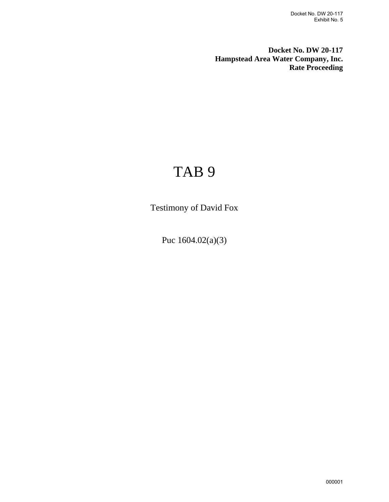**Docket No. DW 20-117 Hampstead Area Water Company, Inc. Rate Proceeding**

# TAB 9

Testimony of David Fox

Puc 1604.02(a)(3)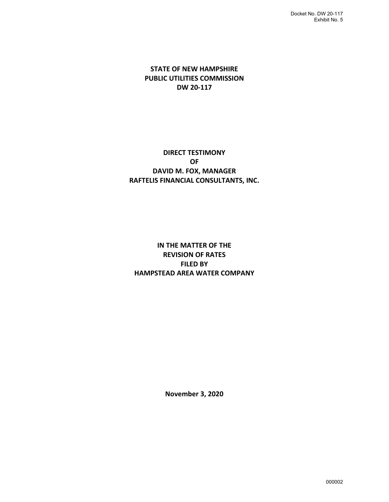### **STATE OF NEW HAMPSHIRE PUBLIC UTILITIES COMMISSION DW 20-117**

### **DIRECT TESTIMONY OF DAVID M. FOX, MANAGER RAFTELIS FINANCIAL CONSULTANTS, INC.**

### **IN THE MATTER OF THE REVISION OF RATES FILED BY HAMPSTEAD AREA WATER COMPANY**

**November 3, 2020**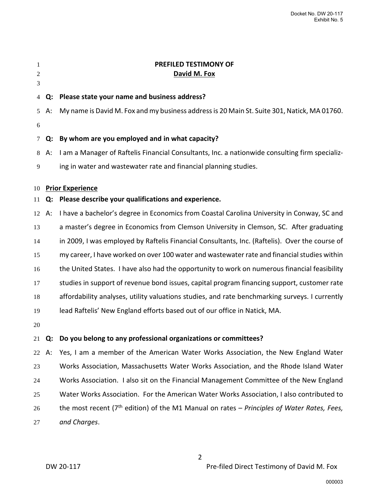| 1<br>2<br>3 |       | PREFILED TESTIMONY OF<br>David M. Fox                                                                  |
|-------------|-------|--------------------------------------------------------------------------------------------------------|
| 4           | Q:    | Please state your name and business address?                                                           |
| $5^{\circ}$ | A:    | My name is David M. Fox and my business address is 20 Main St. Suite 301, Natick, MA 01760.            |
| 6           |       |                                                                                                        |
| 7           | Q:    | By whom are you employed and in what capacity?                                                         |
| 8           | А:    | I am a Manager of Raftelis Financial Consultants, Inc. a nationwide consulting firm specializ-         |
| 9           |       | ing in water and wastewater rate and financial planning studies.                                       |
| 10          |       | <b>Prior Experience</b>                                                                                |
| 11          | Q:    | Please describe your qualifications and experience.                                                    |
|             | 12 A: | I have a bachelor's degree in Economics from Coastal Carolina University in Conway, SC and             |
| 13          |       | a master's degree in Economics from Clemson University in Clemson, SC. After graduating                |
| 14          |       | in 2009, I was employed by Raftelis Financial Consultants, Inc. (Raftelis). Over the course of         |
| 15          |       | my career, I have worked on over 100 water and wastewater rate and financial studies within            |
| 16          |       | the United States. I have also had the opportunity to work on numerous financial feasibility           |
| 17          |       | studies in support of revenue bond issues, capital program financing support, customer rate            |
| 18          |       | affordability analyses, utility valuations studies, and rate benchmarking surveys. I currently         |
| 19          |       | lead Raftelis' New England efforts based out of our office in Natick, MA.                              |
| 20          |       |                                                                                                        |
|             |       | 21 Q: Do you belong to any professional organizations or committees?                                   |
| 22          | А:    | Yes, I am a member of the American Water Works Association, the New England Water                      |
| 23          |       | Works Association, Massachusetts Water Works Association, and the Rhode Island Water                   |
| 24          |       | Works Association. I also sit on the Financial Management Committee of the New England                 |
| 25          |       | Water Works Association. For the American Water Works Association, I also contributed to               |
| 26          |       | the most recent (7 <sup>th</sup> edition) of the M1 Manual on rates - Principles of Water Rates, Fees, |
| 27          |       | and Charges.                                                                                           |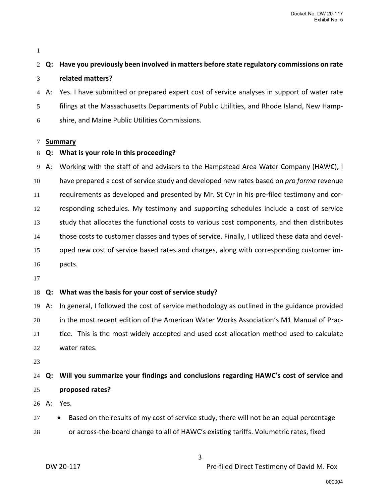## **Q: Have you previously been involved in matters before state regulatory commissions on rate related matters?**

A: Yes. I have submitted or prepared expert cost of service analyses in support of water rate filings at the Massachusetts Departments of Public Utilities, and Rhode Island, New Hamp-shire, and Maine Public Utilities Commissions.

#### **Summary**

### **Q: What is your role in this proceeding?**

A: Working with the staff of and advisers to the Hampstead Area Water Company (HAWC), I have prepared a cost of service study and developed new rates based on *pro forma* revenue requirements as developed and presented by Mr. St Cyr in his pre-filed testimony and cor- responding schedules. My testimony and supporting schedules include a cost of service study that allocates the functional costs to various cost components, and then distributes those costs to customer classes and types of service. Finally, I utilized these data and devel- oped new cost of service based rates and charges, along with corresponding customer im-pacts.

### **Q: What was the basis for your cost of service study?**

 A: In general, I followed the cost of service methodology as outlined in the guidance provided in the most recent edition of the American Water Works Association's M1 Manual of Prac- tice. This is the most widely accepted and used cost allocation method used to calculate water rates.

### **Q: Will you summarize your findings and conclusions regarding HAWC's cost of service and proposed rates?**

A: Yes.

- 27 Based on the results of my cost of service study, there will not be an equal percentage
- or across-the-board change to all of HAWC's existing tariffs. Volumetric rates, fixed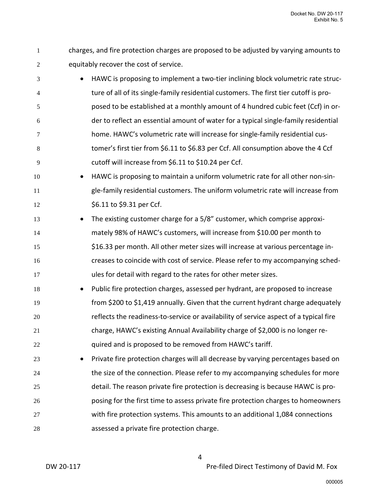- charges, and fire protection charges are proposed to be adjusted by varying amounts to equitably recover the cost of service.
- HAWC is proposing to implement a two-tier inclining block volumetric rate struc-ture of all of its single-family residential customers. The first tier cutoff is pro-posed to be established at a monthly amount of 4 hundred cubic feet (Ccf) in or-der to reflect an essential amount of water for a typical single-family residential home. HAWC's volumetric rate will increase for single-family residential cus-tomer's first tier from \$6.11 to \$6.83 per Ccf. All consumption above the 4 Ccf cutoff will increase from \$6.11 to \$10.24 per Ccf.
- HAWC is proposing to maintain a uniform volumetric rate for all other non-sin- gle-family residential customers. The uniform volumetric rate will increase from 12 \$6.11 to \$9.31 per Ccf.
- The existing customer charge for a 5/8" customer, which comprise approxi- mately 98% of HAWC's customers, will increase from \$10.00 per month to \$16.33 per month. All other meter sizes will increase at various percentage in- creases to coincide with cost of service. Please refer to my accompanying sched-ules for detail with regard to the rates for other meter sizes.
- Public fire protection charges, assessed per hydrant, are proposed to increase from \$200 to \$1,419 annually. Given that the current hydrant charge adequately reflects the readiness-to-service or availability of service aspect of a typical fire charge, HAWC's existing Annual Availability charge of \$2,000 is no longer re-**Example 20 and is proposed to be removed from HAWC's tariff.**
- Private fire protection charges will all decrease by varying percentages based on 24 the size of the connection. Please refer to my accompanying schedules for more detail. The reason private fire protection is decreasing is because HAWC is pro- posing for the first time to assess private fire protection charges to homeowners with fire protection systems. This amounts to an additional 1,084 connections assessed a private fire protection charge.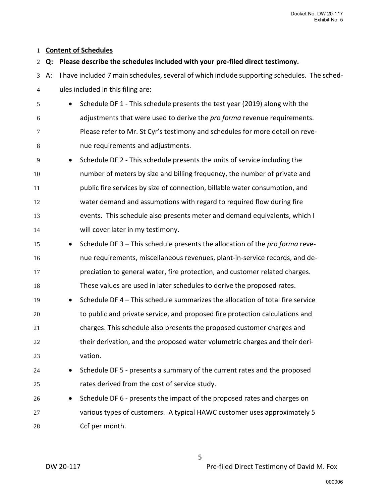### **Content of Schedules**

## **Q: Please describe the schedules included with your pre-filed direct testimony.** A: I have included 7 main schedules, several of which include supporting schedules. The sched-ules included in this filing are: • Schedule DF 1 - This schedule presents the test year (2019) along with the adjustments that were used to derive the *pro forma* revenue requirements. Please refer to Mr. St Cyr's testimony and schedules for more detail on reve-nue requirements and adjustments. • Schedule DF 2 - This schedule presents the units of service including the number of meters by size and billing frequency, the number of private and public fire services by size of connection, billable water consumption, and water demand and assumptions with regard to required flow during fire events. This schedule also presents meter and demand equivalents, which I will cover later in my testimony. • Schedule DF 3 – This schedule presents the allocation of the *pro forma* reve- nue requirements, miscellaneous revenues, plant-in-service records, and de- preciation to general water, fire protection, and customer related charges. These values are used in later schedules to derive the proposed rates. • Schedule DF 4 – This schedule summarizes the allocation of total fire service to public and private service, and proposed fire protection calculations and charges. This schedule also presents the proposed customer charges and 22 their derivation, and the proposed water volumetric charges and their deri- vation. • Schedule DF 5 - presents a summary of the current rates and the proposed rates derived from the cost of service study. • Schedule DF 6 - presents the impact of the proposed rates and charges on various types of customers. A typical HAWC customer uses approximately 5 Ccf per month.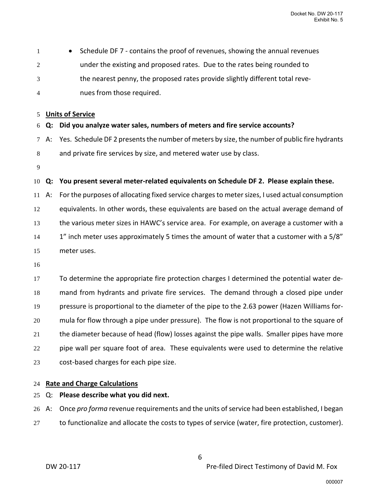| 1  |    | Schedule DF 7 - contains the proof of revenues, showing the annual revenues<br>$\bullet$       |
|----|----|------------------------------------------------------------------------------------------------|
| 2  |    | under the existing and proposed rates. Due to the rates being rounded to                       |
| 3  |    | the nearest penny, the proposed rates provide slightly different total reve-                   |
| 4  |    | nues from those required.                                                                      |
|    |    |                                                                                                |
| 5  |    | <b>Units of Service</b>                                                                        |
| 6  | Q: | Did you analyze water sales, numbers of meters and fire service accounts?                      |
| 7  | А: | Yes. Schedule DF 2 presents the number of meters by size, the number of public fire hydrants   |
| 8  |    | and private fire services by size, and metered water use by class.                             |
| 9  |    |                                                                                                |
| 10 | Q: | You present several meter-related equivalents on Schedule DF 2. Please explain these.          |
| 11 | A: | For the purposes of allocating fixed service charges to meter sizes, I used actual consumption |
| 12 |    | equivalents. In other words, these equivalents are based on the actual average demand of       |
| 13 |    | the various meter sizes in HAWC's service area. For example, on average a customer with a      |
| 14 |    | 1" inch meter uses approximately 5 times the amount of water that a customer with a 5/8"       |
| 15 |    | meter uses.                                                                                    |
| 16 |    |                                                                                                |
| 17 |    | To determine the appropriate fire protection charges I determined the potential water de-      |
| 18 |    | mand from hydrants and private fire services. The demand through a closed pipe under           |
| 19 |    | pressure is proportional to the diameter of the pipe to the 2.63 power (Hazen Williams for-    |
| 20 |    | mula for flow through a pipe under pressure). The flow is not proportional to the square of    |
| 21 |    | the diameter because of head (flow) losses against the pipe walls. Smaller pipes have more     |
| 22 |    | pipe wall per square foot of area. These equivalents were used to determine the relative       |
| 23 |    | cost-based charges for each pipe size.                                                         |

### **Rate and Charge Calculations**

Q: **Please describe what you did next.**

 A: Once *pro forma* revenue requirements and the units of service had been established, I began 27 to functionalize and allocate the costs to types of service (water, fire protection, customer).

DW 20-117 DW 20-117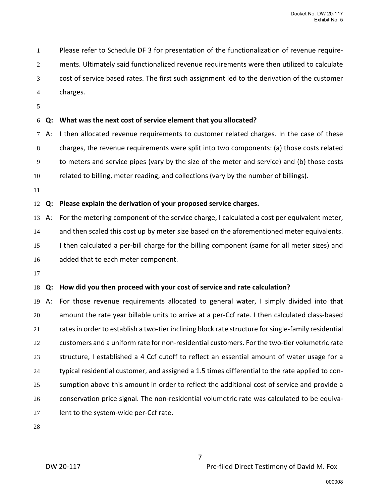Please refer to Schedule DF 3 for presentation of the functionalization of revenue require-ments. Ultimately said functionalized revenue requirements were then utilized to calculate cost of service based rates. The first such assignment led to the derivation of the customer charges.

### **Q: What was the next cost of service element that you allocated?**

A: I then allocated revenue requirements to customer related charges. In the case of these charges, the revenue requirements were split into two components: (a) those costs related to meters and service pipes (vary by the size of the meter and service) and (b) those costs related to billing, meter reading, and collections (vary by the number of billings).

### **Q: Please explain the derivation of your proposed service charges.**

 A: For the metering component of the service charge, I calculated a cost per equivalent meter, 14 and then scaled this cost up by meter size based on the aforementioned meter equivalents. 15 I then calculated a per-bill charge for the billing component (same for all meter sizes) and added that to each meter component.

### **Q: How did you then proceed with your cost of service and rate calculation?**

 A: For those revenue requirements allocated to general water, I simply divided into that amount the rate year billable units to arrive at a per-Ccf rate. I then calculated class-based rates in order to establish a two-tier inclining block rate structure for single-family residential customers and a uniform rate for non-residential customers. For the two-tier volumetric rate structure, I established a 4 Ccf cutoff to reflect an essential amount of water usage for a typical residential customer, and assigned a 1.5 times differential to the rate applied to con- sumption above this amount in order to reflect the additional cost of service and provide a conservation price signal. The non-residential volumetric rate was calculated to be equiva-lent to the system-wide per-Ccf rate.